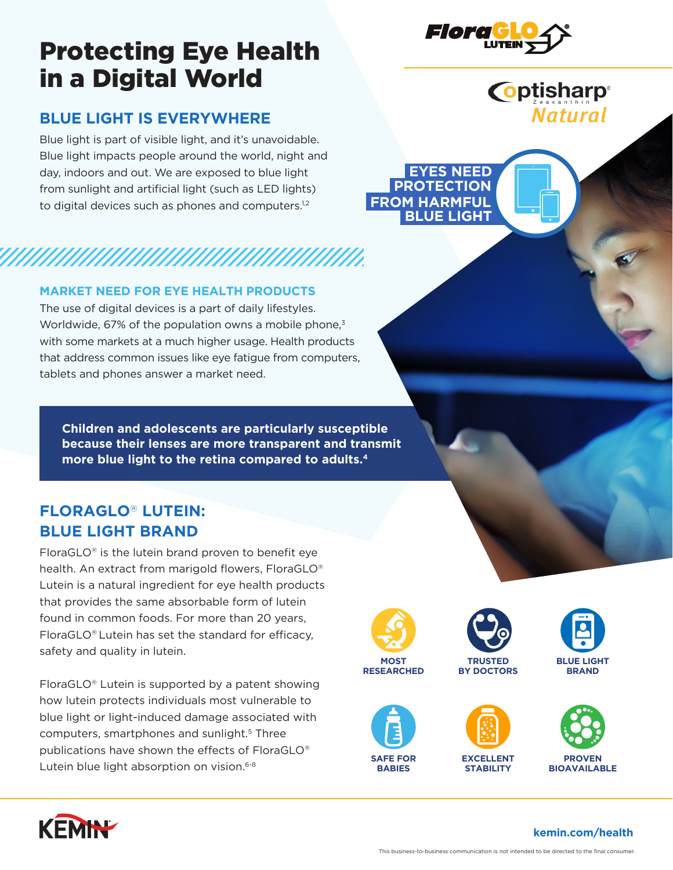# Protecting Eye Health in a Digital World

# **BLUE LIGHT IS EVERYWHERE**

Blue light is part of visible light, and it's unavoidable. Blue light impacts people around the world, night and day, indoors and out. We are exposed to blue light from sunlight and artificial light (such as LED lights) to digital devices such as phones and computers.<sup>1,2</sup>

### **MARKET NEED FOR EYE HEALTH PRODUCTS**

The use of digital devices is a part of daily lifestyles. Worldwide, 67% of the population owns a mobile phone,<sup>3</sup> with some markets at a much higher usage. Health products that address common issues like eye fatigue from computers, tablets and phones answer a market need.

**Children and adolescents are particularly susceptible because their lenses are more transparent and transmit more blue light to the retina compared to adults.4**

# **FLORAGLO**® **LUTEIN: BLUE LIGHT BRAND**

FloraGLO® is the lutein brand proven to benefit eye health. An extract from marigold flowers, FloraGLO® Lutein is a natural ingredient for eye health products that provides the same absorbable form of lutein found in common foods. For more than 20 years, FloraGLO® Lutein has set the standard for efficacy, safety and quality in lutein.

FloraGLO® Lutein is supported by a patent showing how lutein protects individuals most vulnerable to blue light or light-induced damage associated with computers, smartphones and sunlight.5 Three publications have shown the effects of FloraGLO® Lutein blue light absorption on vision.<sup>6-8</sup>



**RESEARCHED**

**SAFE FOR BABIES**



**TRUSTED BY DOCTORS**



**EXCELLENT STABILITY**



**PROVEN BIOAVAILABLE**

**BLUE LIGHT BRAND**



# **kemin.com/health**



**Coptisharp**®

**Natural** 

 **EYES NEED PROTECTION FROM HARMFUL BLUE LIGHT**